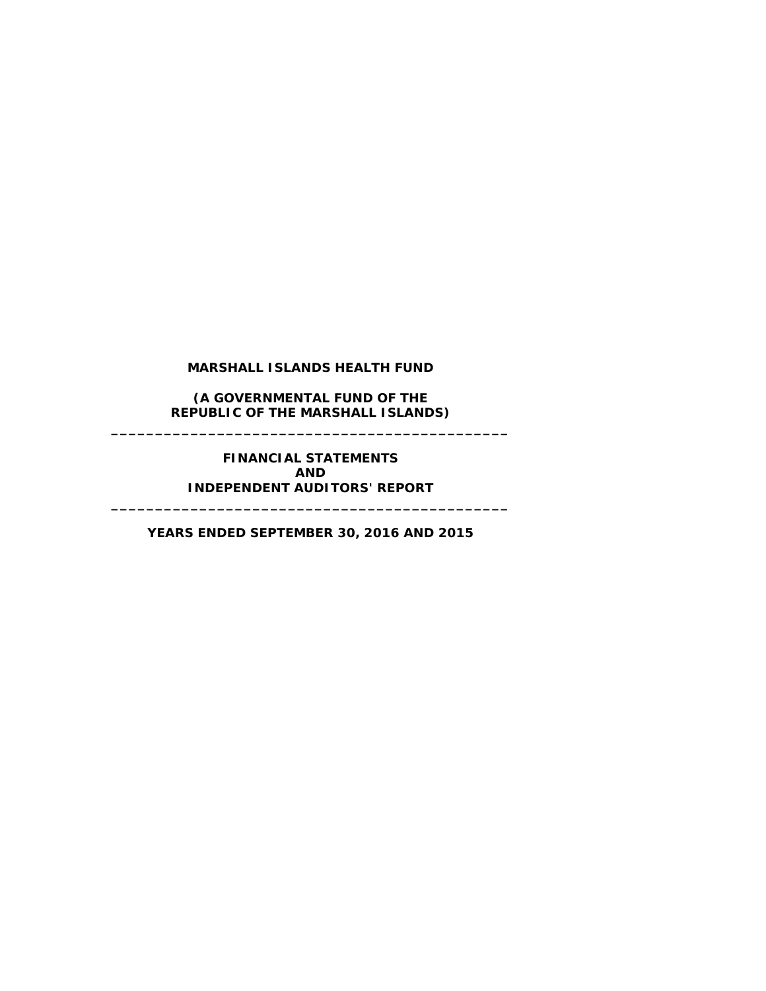**(A GOVERNMENTAL FUND OF THE REPUBLIC OF THE MARSHALL ISLANDS) \_\_\_\_\_\_\_\_\_\_\_\_\_\_\_\_\_\_\_\_\_\_\_\_\_\_\_\_\_\_\_\_\_\_\_\_\_\_\_\_\_\_\_\_\_**

> **FINANCIAL STATEMENTS AND INDEPENDENT AUDITORS' REPORT**

**\_\_\_\_\_\_\_\_\_\_\_\_\_\_\_\_\_\_\_\_\_\_\_\_\_\_\_\_\_\_\_\_\_\_\_\_\_\_\_\_\_\_\_\_\_**

**YEARS ENDED SEPTEMBER 30, 2016 AND 2015**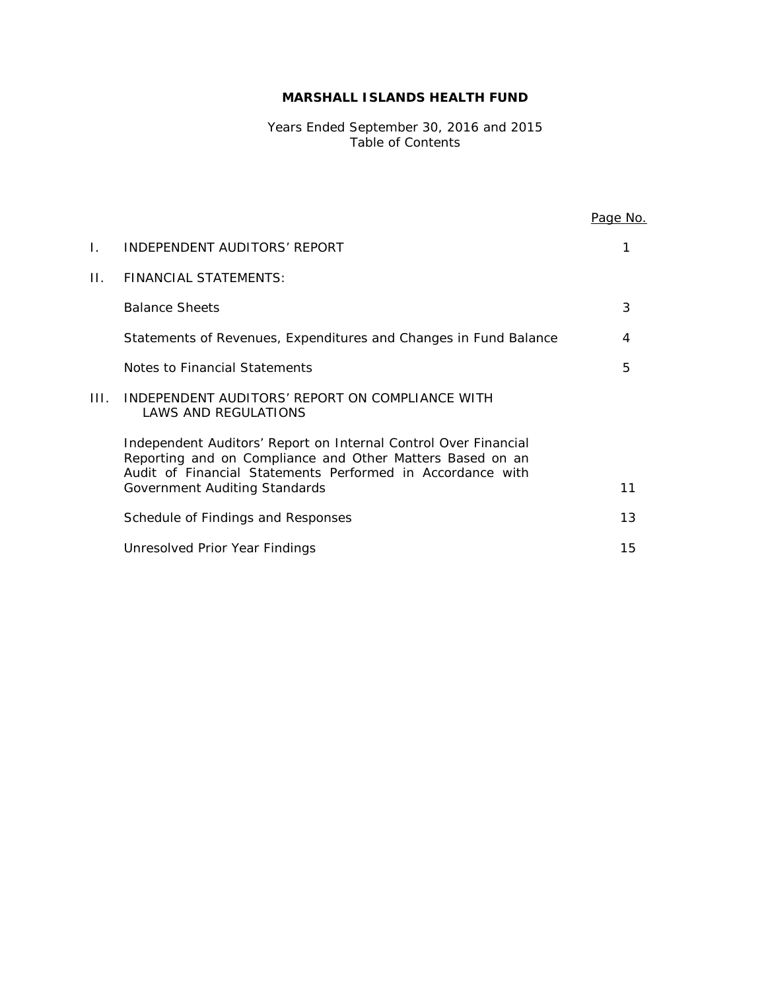Years Ended September 30, 2016 and 2015 Table of Contents

|              |                                                                                                                                                                                            | <u>Page No.</u> |
|--------------|--------------------------------------------------------------------------------------------------------------------------------------------------------------------------------------------|-----------------|
| $\mathbf{L}$ | INDEPENDENT AUDITORS' REPORT                                                                                                                                                               |                 |
| П.           | <b>FINANCIAL STATEMENTS:</b>                                                                                                                                                               |                 |
|              | <b>Balance Sheets</b>                                                                                                                                                                      | 3               |
|              | Statements of Revenues, Expenditures and Changes in Fund Balance                                                                                                                           | 4               |
|              | Notes to Financial Statements                                                                                                                                                              | 5               |
| III.         | INDEPENDENT AUDITORS' REPORT ON COMPLIANCE WITH<br>LAWS AND REGULATIONS                                                                                                                    |                 |
|              | Independent Auditors' Report on Internal Control Over Financial<br>Reporting and on Compliance and Other Matters Based on an<br>Audit of Financial Statements Performed in Accordance with |                 |
|              | Government Auditing Standards                                                                                                                                                              | 11              |
|              | Schedule of Findings and Responses                                                                                                                                                         | 13              |
|              | Unresolved Prior Year Findings                                                                                                                                                             | 15              |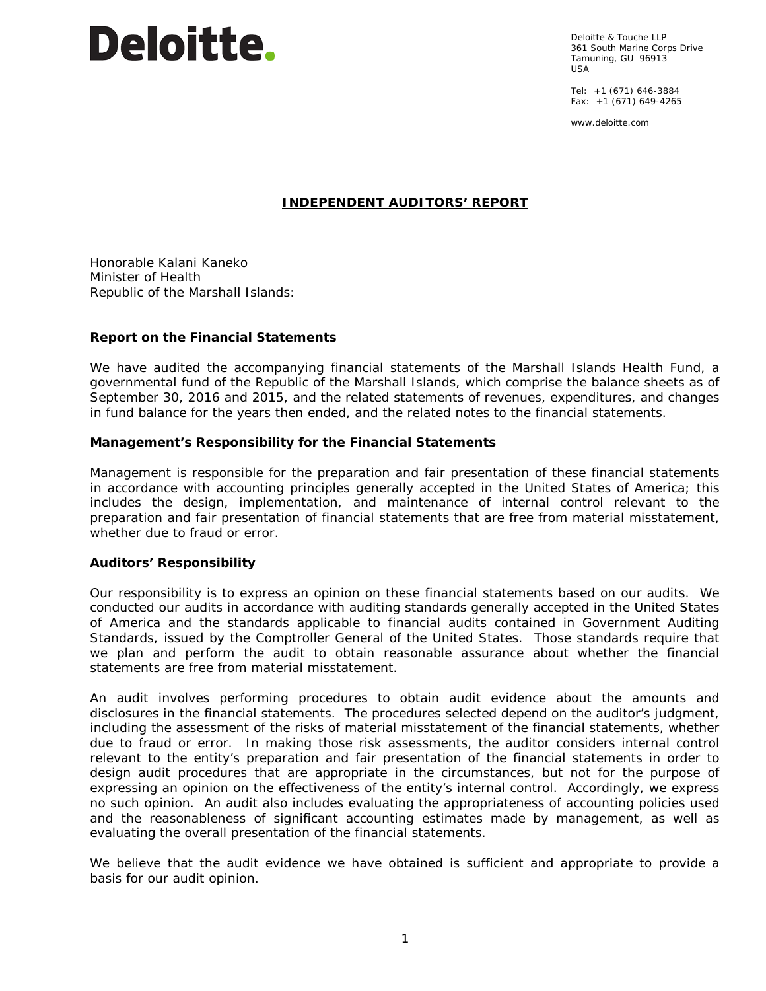Deloitte & Touche LLP 361 South Marine Corps Drive Tamuning, GU 96913 USA

Tel: +1 (671) 646-3884 Fax: +1 (671) 649-4265

www.deloitte.com

# **INDEPENDENT AUDITORS' REPORT**

Honorable Kalani Kaneko Minister of Health Republic of the Marshall Islands:

# **Report on the Financial Statements**

We have audited the accompanying financial statements of the Marshall Islands Health Fund, a governmental fund of the Republic of the Marshall Islands, which comprise the balance sheets as of September 30, 2016 and 2015, and the related statements of revenues, expenditures, and changes in fund balance for the years then ended, and the related notes to the financial statements.

# *Management's Responsibility for the Financial Statements*

Management is responsible for the preparation and fair presentation of these financial statements in accordance with accounting principles generally accepted in the United States of America; this includes the design, implementation, and maintenance of internal control relevant to the preparation and fair presentation of financial statements that are free from material misstatement, whether due to fraud or error.

# *Auditors' Responsibility*

Our responsibility is to express an opinion on these financial statements based on our audits. We conducted our audits in accordance with auditing standards generally accepted in the United States of America and the standards applicable to financial audits contained in *Government Auditing Standards*, issued by the Comptroller General of the United States. Those standards require that we plan and perform the audit to obtain reasonable assurance about whether the financial statements are free from material misstatement.

An audit involves performing procedures to obtain audit evidence about the amounts and disclosures in the financial statements. The procedures selected depend on the auditor's judgment, including the assessment of the risks of material misstatement of the financial statements, whether due to fraud or error. In making those risk assessments, the auditor considers internal control relevant to the entity's preparation and fair presentation of the financial statements in order to design audit procedures that are appropriate in the circumstances, but not for the purpose of expressing an opinion on the effectiveness of the entity's internal control. Accordingly, we express no such opinion. An audit also includes evaluating the appropriateness of accounting policies used and the reasonableness of significant accounting estimates made by management, as well as evaluating the overall presentation of the financial statements.

We believe that the audit evidence we have obtained is sufficient and appropriate to provide a basis for our audit opinion.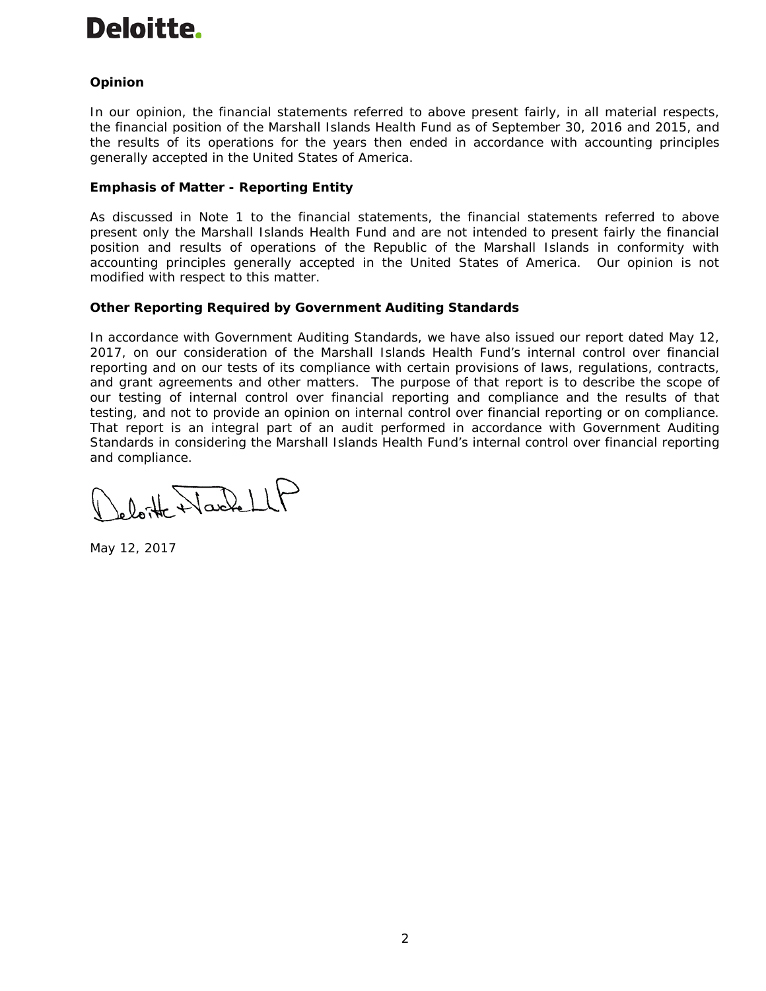# *Opinion*

In our opinion, the financial statements referred to above present fairly, in all material respects, the financial position of the Marshall Islands Health Fund as of September 30, 2016 and 2015, and the results of its operations for the years then ended in accordance with accounting principles generally accepted in the United States of America.

# *Emphasis of Matter - Reporting Entity*

As discussed in Note 1 to the financial statements, the financial statements referred to above present only the Marshall Islands Health Fund and are not intended to present fairly the financial position and results of operations of the Republic of the Marshall Islands in conformity with accounting principles generally accepted in the United States of America. Our opinion is not modified with respect to this matter.

# **Other Reporting Required by** *Government Auditing Standards*

In accordance with *Government Auditing Standards*, we have also issued our report dated May 12, 2017, on our consideration of the Marshall Islands Health Fund's internal control over financial reporting and on our tests of its compliance with certain provisions of laws, regulations, contracts, and grant agreements and other matters. The purpose of that report is to describe the scope of our testing of internal control over financial reporting and compliance and the results of that testing, and not to provide an opinion on internal control over financial reporting or on compliance. That report is an integral part of an audit performed in accordance with *Government Auditing Standards* in considering the Marshall Islands Health Fund's internal control over financial reporting and compliance.

lotte Wackell

May 12, 2017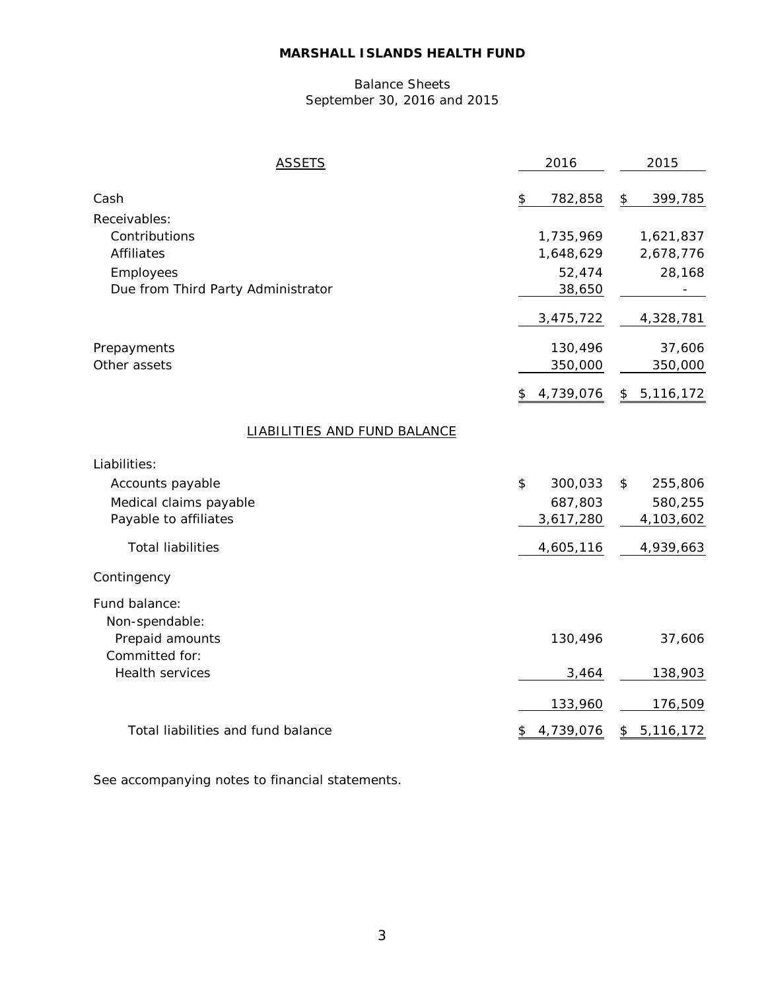# Balance Sheets September 30, 2016 and 2015

| <b>ASSETS</b>                       | 2016            | 2015              |
|-------------------------------------|-----------------|-------------------|
| Cash                                | \$<br>782,858   | 399,785<br>\$     |
| Receivables:                        |                 |                   |
| Contributions                       | 1,735,969       | 1,621,837         |
| <b>Affiliates</b>                   | 1,648,629       | 2,678,776         |
| Employees                           | 52,474          | 28,168            |
| Due from Third Party Administrator  | 38,650          |                   |
|                                     | 3,475,722       | 4,328,781         |
| Prepayments                         | 130,496         | 37,606            |
| Other assets                        | 350,000         | 350,000           |
|                                     | 4,739,076<br>\$ | 5, 116, 172<br>\$ |
| <b>LIABILITIES AND FUND BALANCE</b> |                 |                   |
| Liabilities:                        |                 |                   |
| Accounts payable                    | \$<br>300,033   | \$<br>255,806     |
| Medical claims payable              | 687,803         | 580,255           |
| Payable to affiliates               | 3,617,280       | 4,103,602         |
| <b>Total liabilities</b>            | 4,605,116       | 4,939,663         |
| Contingency                         |                 |                   |
| Fund balance:                       |                 |                   |
| Non-spendable:                      |                 |                   |
| Prepaid amounts                     | 130,496         | 37,606            |
| Committed for:                      |                 |                   |
| Health services                     | 3,464           | 138,903           |
|                                     | 133,960         | 176,509           |
| Total liabilities and fund balance  | 4,739,076<br>\$ | 5,116,172<br>\$   |

See accompanying notes to financial statements.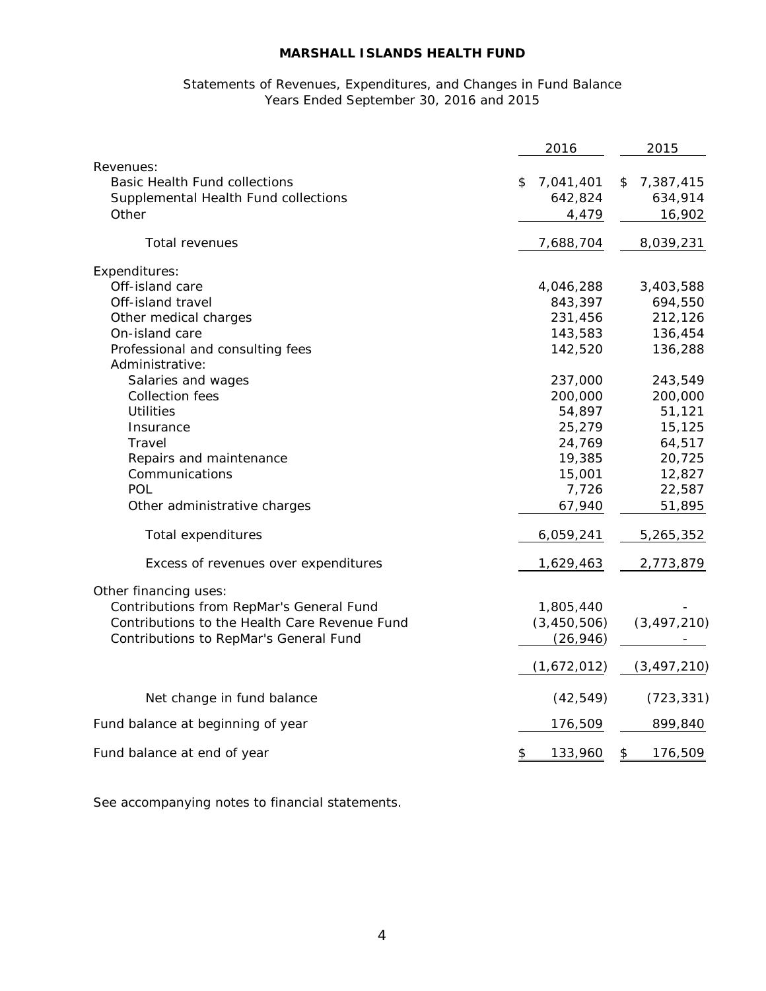# Statements of Revenues, Expenditures, and Changes in Fund Balance Years Ended September 30, 2016 and 2015

|                                               | 2016            | 2015            |
|-----------------------------------------------|-----------------|-----------------|
| Revenues:                                     |                 |                 |
| <b>Basic Health Fund collections</b>          | 7,041,401<br>\$ | 7,387,415<br>\$ |
| Supplemental Health Fund collections          | 642,824         | 634,914         |
| Other                                         | 4,479           | 16,902          |
| Total revenues                                | 7,688,704       | 8,039,231       |
| Expenditures:                                 |                 |                 |
| Off-island care                               | 4,046,288       | 3,403,588       |
| Off-island travel                             | 843,397         | 694,550         |
| Other medical charges                         | 231,456         | 212,126         |
| On-island care                                | 143,583         | 136,454         |
| Professional and consulting fees              | 142,520         | 136,288         |
| Administrative:                               |                 |                 |
| Salaries and wages                            | 237,000         | 243,549         |
| <b>Collection fees</b>                        | 200,000         | 200,000         |
| <b>Utilities</b>                              | 54,897          | 51,121          |
| Insurance                                     | 25,279          | 15,125          |
| Travel                                        | 24,769          | 64,517          |
| Repairs and maintenance                       | 19,385          | 20,725          |
| Communications                                | 15,001          | 12,827          |
| POL                                           | 7,726           | 22,587          |
| Other administrative charges                  | 67,940          | 51,895          |
| Total expenditures                            | 6,059,241       | 5,265,352       |
| Excess of revenues over expenditures          | 1,629,463       | 2,773,879       |
| Other financing uses:                         |                 |                 |
| Contributions from RepMar's General Fund      | 1,805,440       |                 |
| Contributions to the Health Care Revenue Fund | (3,450,506)     | (3, 497, 210)   |
| Contributions to RepMar's General Fund        | (26, 946)       |                 |
|                                               | (1,672,012)     | (3, 497, 210)   |
| Net change in fund balance                    | (42, 549)       | (723, 331)      |
| Fund balance at beginning of year             | 176,509         | 899,840         |
| Fund balance at end of year                   | \$<br>133,960   | 176,509<br>\$   |

See accompanying notes to financial statements.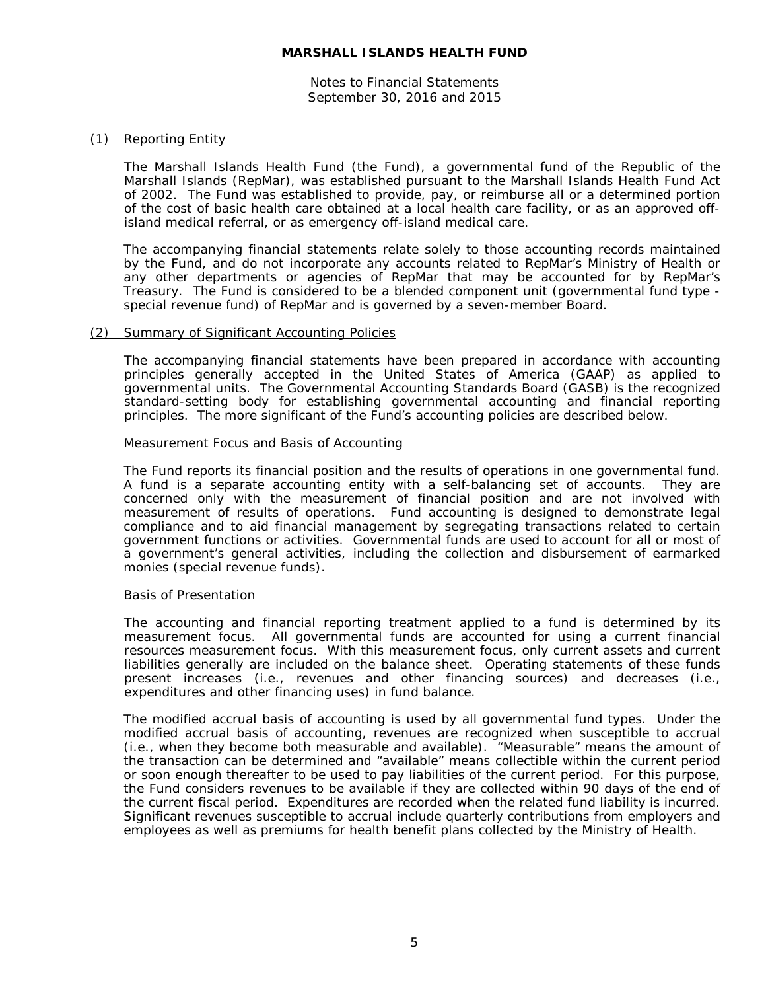Notes to Financial Statements September 30, 2016 and 2015

#### (1) Reporting Entity

The Marshall Islands Health Fund (the Fund), a governmental fund of the Republic of the Marshall Islands (RepMar), was established pursuant to the Marshall Islands Health Fund Act of 2002. The Fund was established to provide, pay, or reimburse all or a determined portion of the cost of basic health care obtained at a local health care facility, or as an approved offisland medical referral, or as emergency off-island medical care.

The accompanying financial statements relate solely to those accounting records maintained by the Fund, and do not incorporate any accounts related to RepMar's Ministry of Health or any other departments or agencies of RepMar that may be accounted for by RepMar's Treasury. The Fund is considered to be a blended component unit (governmental fund type special revenue fund) of RepMar and is governed by a seven-member Board.

#### (2) Summary of Significant Accounting Policies

The accompanying financial statements have been prepared in accordance with accounting principles generally accepted in the United States of America (GAAP) as applied to governmental units. The Governmental Accounting Standards Board (GASB) is the recognized standard-setting body for establishing governmental accounting and financial reporting principles. The more significant of the Fund's accounting policies are described below.

#### Measurement Focus and Basis of Accounting

The Fund reports its financial position and the results of operations in one governmental fund. A fund is a separate accounting entity with a self-balancing set of accounts. They are concerned only with the measurement of financial position and are not involved with measurement of results of operations. Fund accounting is designed to demonstrate legal compliance and to aid financial management by segregating transactions related to certain government functions or activities. Governmental funds are used to account for all or most of a government's general activities, including the collection and disbursement of earmarked monies (special revenue funds).

#### Basis of Presentation

The accounting and financial reporting treatment applied to a fund is determined by its measurement focus. All governmental funds are accounted for using a current financial resources measurement focus. With this measurement focus, only current assets and current liabilities generally are included on the balance sheet. Operating statements of these funds present increases (i.e., revenues and other financing sources) and decreases (i.e., expenditures and other financing uses) in fund balance.

The modified accrual basis of accounting is used by all governmental fund types. Under the modified accrual basis of accounting, revenues are recognized when susceptible to accrual (i.e., when they become both measurable and available). "Measurable" means the amount of the transaction can be determined and "available" means collectible within the current period or soon enough thereafter to be used to pay liabilities of the current period. For this purpose, the Fund considers revenues to be available if they are collected within 90 days of the end of the current fiscal period. Expenditures are recorded when the related fund liability is incurred. Significant revenues susceptible to accrual include quarterly contributions from employers and employees as well as premiums for health benefit plans collected by the Ministry of Health.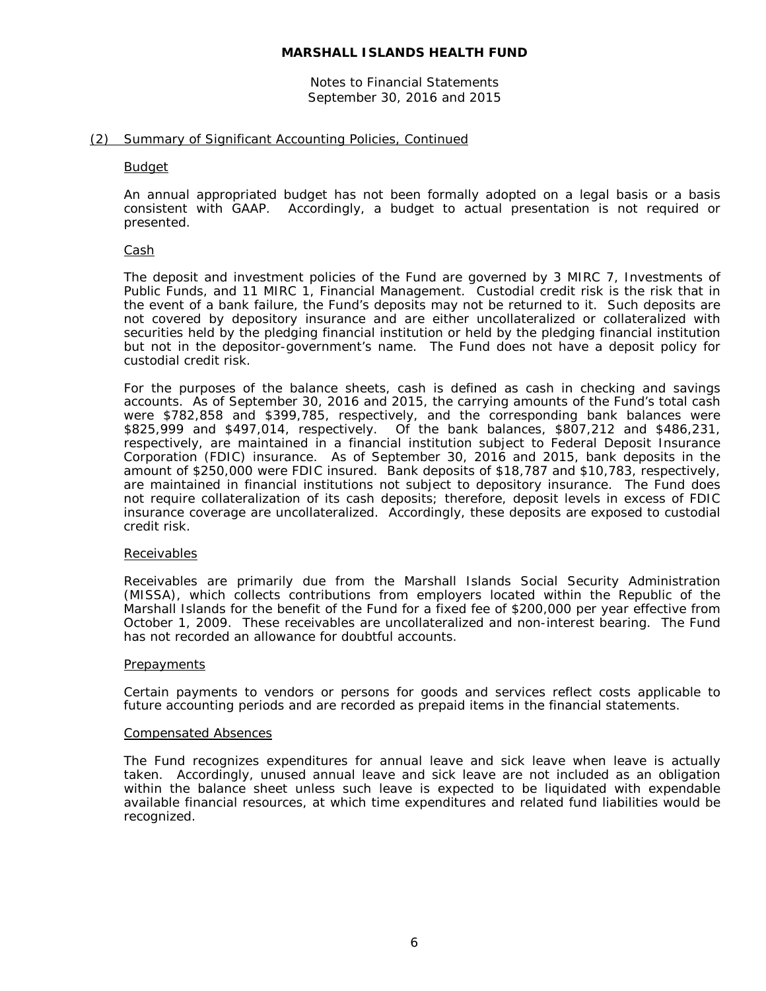Notes to Financial Statements September 30, 2016 and 2015

#### (2) Summary of Significant Accounting Policies, Continued

#### **Budget**

An annual appropriated budget has not been formally adopted on a legal basis or a basis consistent with GAAP. Accordingly, a budget to actual presentation is not required or presented.

#### Cash

The deposit and investment policies of the Fund are governed by 3 MIRC 7, *Investments of Public Funds*, and 11 MIRC 1, *Financial Management*. Custodial credit risk is the risk that in the event of a bank failure, the Fund's deposits may not be returned to it. Such deposits are not covered by depository insurance and are either uncollateralized or collateralized with securities held by the pledging financial institution or held by the pledging financial institution but not in the depositor-government's name. The Fund does not have a deposit policy for custodial credit risk.

For the purposes of the balance sheets, cash is defined as cash in checking and savings accounts. As of September 30, 2016 and 2015, the carrying amounts of the Fund's total cash were \$782,858 and \$399,785, respectively, and the corresponding bank balances were \$825,999 and \$497,014, respectively. Of the bank balances, \$807,212 and \$486,231, respectively, are maintained in a financial institution subject to Federal Deposit Insurance Corporation (FDIC) insurance. As of September 30, 2016 and 2015, bank deposits in the amount of \$250,000 were FDIC insured. Bank deposits of \$18,787 and \$10,783, respectively, are maintained in financial institutions not subject to depository insurance. The Fund does not require collateralization of its cash deposits; therefore, deposit levels in excess of FDIC insurance coverage are uncollateralized. Accordingly, these deposits are exposed to custodial credit risk.

#### Receivables

Receivables are primarily due from the Marshall Islands Social Security Administration (MISSA), which collects contributions from employers located within the Republic of the Marshall Islands for the benefit of the Fund for a fixed fee of \$200,000 per year effective from October 1, 2009. These receivables are uncollateralized and non-interest bearing. The Fund has not recorded an allowance for doubtful accounts.

#### **Prepayments**

Certain payments to vendors or persons for goods and services reflect costs applicable to future accounting periods and are recorded as prepaid items in the financial statements.

#### Compensated Absences

The Fund recognizes expenditures for annual leave and sick leave when leave is actually taken. Accordingly, unused annual leave and sick leave are not included as an obligation within the balance sheet unless such leave is expected to be liquidated with expendable available financial resources, at which time expenditures and related fund liabilities would be recognized.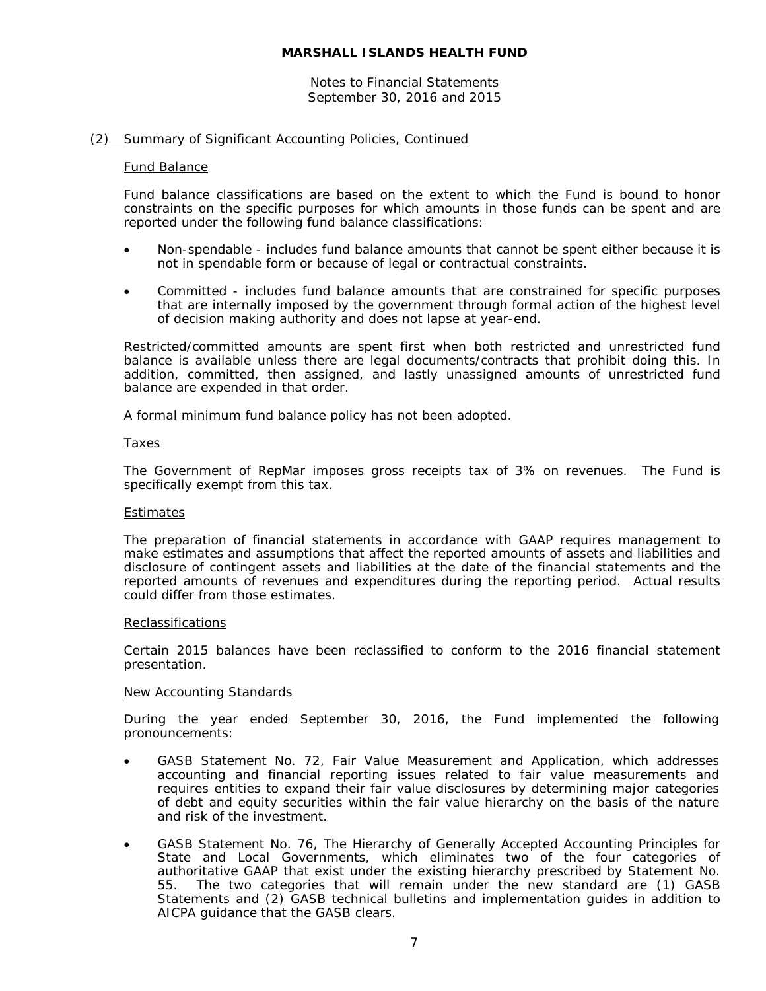Notes to Financial Statements September 30, 2016 and 2015

#### (2) Summary of Significant Accounting Policies, Continued

#### Fund Balance

Fund balance classifications are based on the extent to which the Fund is bound to honor constraints on the specific purposes for which amounts in those funds can be spent and are reported under the following fund balance classifications:

- Non-spendable includes fund balance amounts that cannot be spent either because it is not in spendable form or because of legal or contractual constraints.
- Committed includes fund balance amounts that are constrained for specific purposes that are internally imposed by the government through formal action of the highest level of decision making authority and does not lapse at year-end.

Restricted/committed amounts are spent first when both restricted and unrestricted fund balance is available unless there are legal documents/contracts that prohibit doing this. In addition, committed, then assigned, and lastly unassigned amounts of unrestricted fund balance are expended in that order.

A formal minimum fund balance policy has not been adopted.

#### Taxes

The Government of RepMar imposes gross receipts tax of 3% on revenues. The Fund is specifically exempt from this tax.

#### Estimates

The preparation of financial statements in accordance with GAAP requires management to make estimates and assumptions that affect the reported amounts of assets and liabilities and disclosure of contingent assets and liabilities at the date of the financial statements and the reported amounts of revenues and expenditures during the reporting period. Actual results could differ from those estimates.

#### Reclassifications

Certain 2015 balances have been reclassified to conform to the 2016 financial statement presentation.

#### New Accounting Standards

During the year ended September 30, 2016, the Fund implemented the following pronouncements:

- GASB Statement No. 72, *Fair Value Measurement and Application*, which addresses accounting and financial reporting issues related to fair value measurements and requires entities to expand their fair value disclosures by determining major categories of debt and equity securities within the fair value hierarchy on the basis of the nature and risk of the investment.
- GASB Statement No. 76, *The Hierarchy of Generally Accepted Accounting Principles for State and Local Governments*, which eliminates two of the four categories of authoritative GAAP that exist under the existing hierarchy prescribed by Statement No. 55. The two categories that will remain under the new standard are (1) GASB Statements and (2) GASB technical bulletins and implementation guides in addition to AICPA guidance that the GASB clears.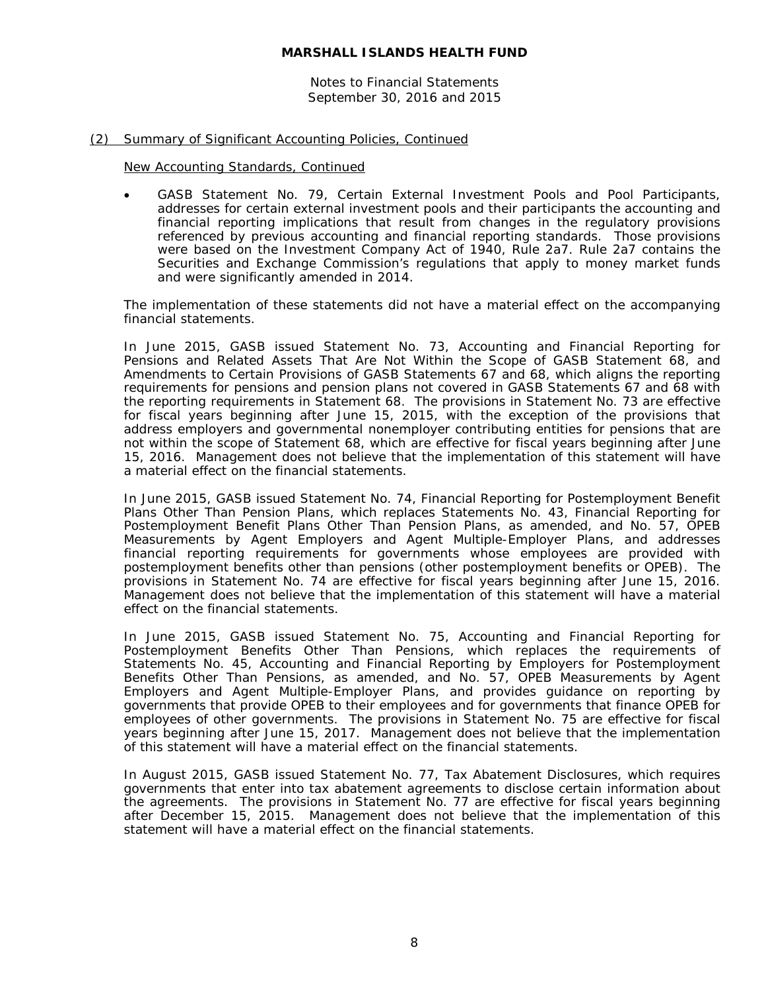Notes to Financial Statements September 30, 2016 and 2015

#### (2) Summary of Significant Accounting Policies, Continued

#### New Accounting Standards, Continued

• GASB Statement No. 79, *Certain External Investment Pools and Pool Participants*, addresses for certain external investment pools and their participants the accounting and financial reporting implications that result from changes in the regulatory provisions referenced by previous accounting and financial reporting standards. Those provisions were based on the Investment Company Act of 1940, Rule 2a7. Rule 2a7 contains the Securities and Exchange Commission's regulations that apply to money market funds and were significantly amended in 2014.

The implementation of these statements did not have a material effect on the accompanying financial statements.

In June 2015, GASB issued Statement No. 73, *Accounting and Financial Reporting for Pensions and Related Assets That Are Not Within the Scope of GASB Statement 68, and Amendments to Certain Provisions of GASB Statements 67 and 68*, which aligns the reporting requirements for pensions and pension plans not covered in GASB Statements 67 and 68 with the reporting requirements in Statement 68. The provisions in Statement No. 73 are effective for fiscal years beginning after June 15, 2015, with the exception of the provisions that address employers and governmental nonemployer contributing entities for pensions that are not within the scope of Statement 68, which are effective for fiscal years beginning after June 15, 2016. Management does not believe that the implementation of this statement will have a material effect on the financial statements.

In June 2015, GASB issued Statement No. 74, *Financial Reporting for Postemployment Benefit Plans Other Than Pension Plans*, which replaces Statements No. 43, *Financial Reporting for Postemployment Benefit Plans Other Than Pension Plans*, as amended, and No. 57, *OPEB Measurements by Agent Employers and Agent Multiple-Employer Plans*, and addresses financial reporting requirements for governments whose employees are provided with postemployment benefits other than pensions (other postemployment benefits or OPEB). The provisions in Statement No. 74 are effective for fiscal years beginning after June 15, 2016. Management does not believe that the implementation of this statement will have a material effect on the financial statements.

In June 2015, GASB issued Statement No. 75, *Accounting and Financial Reporting for Postemployment Benefits Other Than Pensions*, which replaces the requirements of Statements No. 45, *Accounting and Financial Reporting by Employers for Postemployment Benefits Other Than Pensions*, as amended, and No. 57, *OPEB Measurements by Agent Employers and Agent Multiple-Employer Plans*, and provides guidance on reporting by governments that provide OPEB to their employees and for governments that finance OPEB for employees of other governments. The provisions in Statement No. 75 are effective for fiscal years beginning after June 15, 2017. Management does not believe that the implementation of this statement will have a material effect on the financial statements.

In August 2015, GASB issued Statement No. 77, *Tax Abatement Disclosures*, which requires governments that enter into tax abatement agreements to disclose certain information about the agreements. The provisions in Statement No. 77 are effective for fiscal years beginning after December 15, 2015. Management does not believe that the implementation of this statement will have a material effect on the financial statements.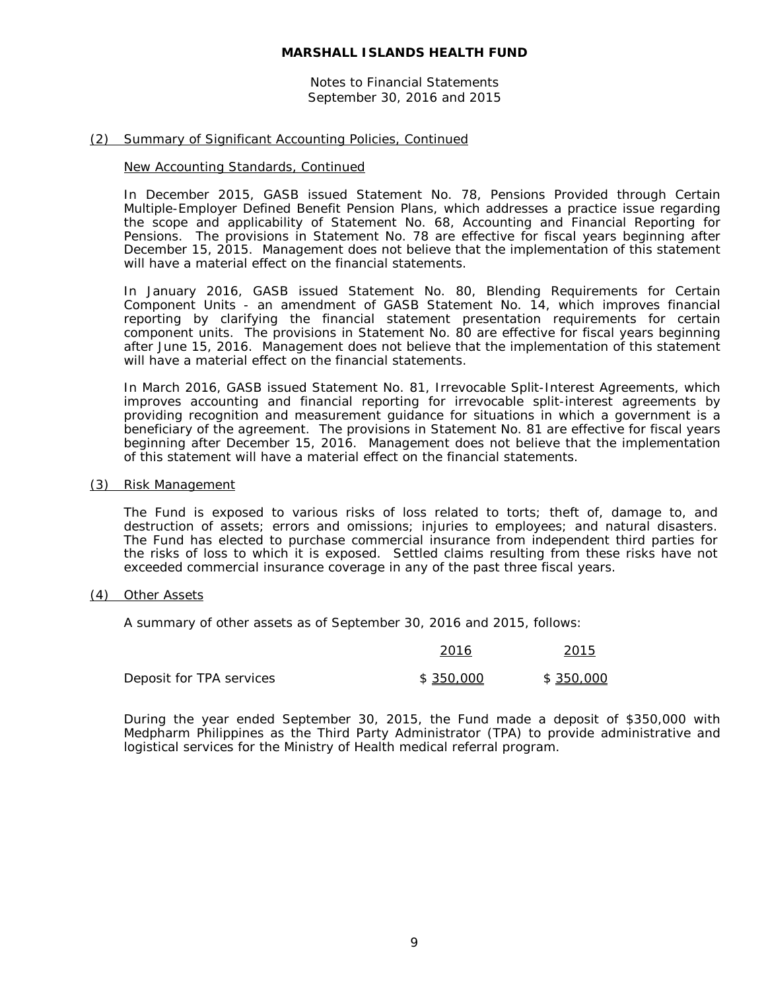Notes to Financial Statements September 30, 2016 and 2015

#### (2) Summary of Significant Accounting Policies, Continued

#### New Accounting Standards, Continued

In December 2015, GASB issued Statement No. 78, *Pensions Provided through Certain Multiple-Employer Defined Benefit Pension Plans*, which addresses a practice issue regarding the scope and applicability of Statement No. 68, *Accounting and Financial Reporting for Pensions*. The provisions in Statement No. 78 are effective for fiscal years beginning after December 15, 2015. Management does not believe that the implementation of this statement will have a material effect on the financial statements.

In January 2016, GASB issued Statement No. 80, *Blending Requirements for Certain Component Units - an amendment of GASB Statement No. 14*, which improves financial reporting by clarifying the financial statement presentation requirements for certain component units. The provisions in Statement No. 80 are effective for fiscal years beginning after June 15, 2016. Management does not believe that the implementation of this statement will have a material effect on the financial statements.

In March 2016, GASB issued Statement No. 81, *Irrevocable Split-Interest Agreements*, which improves accounting and financial reporting for irrevocable split-interest agreements by providing recognition and measurement guidance for situations in which a government is a beneficiary of the agreement. The provisions in Statement No. 81 are effective for fiscal years beginning after December 15, 2016. Management does not believe that the implementation of this statement will have a material effect on the financial statements.

#### (3) Risk Management

The Fund is exposed to various risks of loss related to torts; theft of, damage to, and destruction of assets; errors and omissions; injuries to employees; and natural disasters. The Fund has elected to purchase commercial insurance from independent third parties for the risks of loss to which it is exposed. Settled claims resulting from these risks have not exceeded commercial insurance coverage in any of the past three fiscal years.

#### (4) Other Assets

A summary of other assets as of September 30, 2016 and 2015, follows:

|                          | 2016      | 2015      |
|--------------------------|-----------|-----------|
| Deposit for TPA services | \$350,000 | \$350.000 |

During the year ended September 30, 2015, the Fund made a deposit of \$350,000 with Medpharm Philippines as the Third Party Administrator (TPA) to provide administrative and logistical services for the Ministry of Health medical referral program.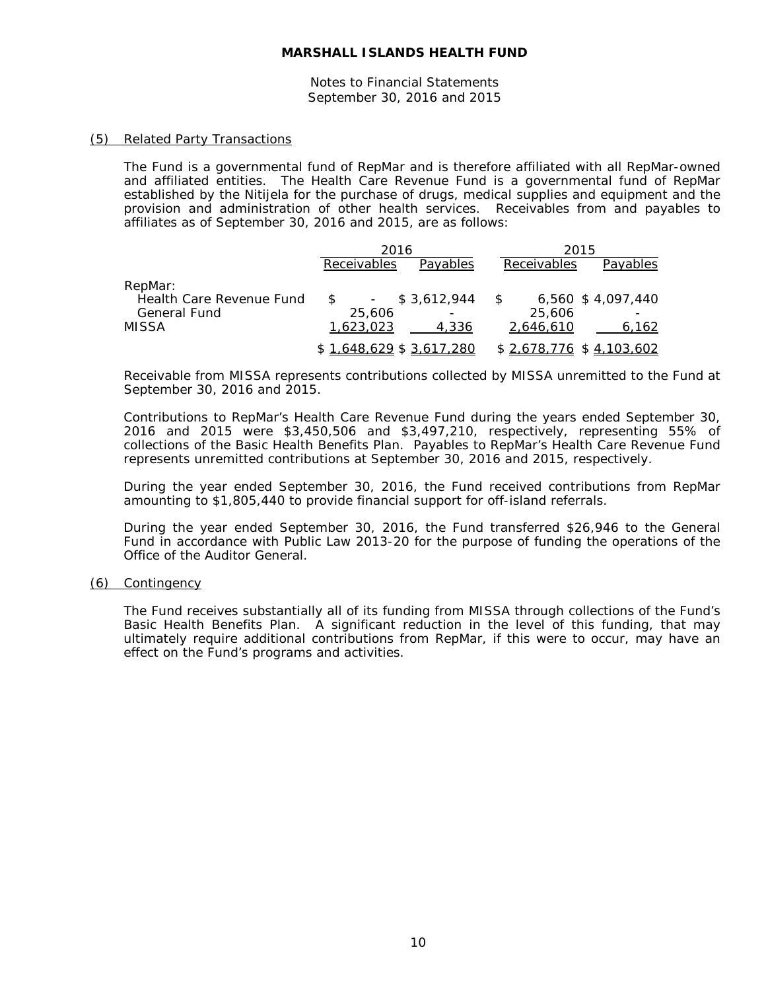Notes to Financial Statements September 30, 2016 and 2015

#### (5) Related Party Transactions

The Fund is a governmental fund of RepMar and is therefore affiliated with all RepMar-owned and affiliated entities. The Health Care Revenue Fund is a governmental fund of RepMar established by the Nitijela for the purchase of drugs, medical supplies and equipment and the provision and administration of other health services. Receivables from and payables to affiliates as of September 30, 2016 and 2015, are as follows:

|                          | 2016                      |                  | 2015        |                           |
|--------------------------|---------------------------|------------------|-------------|---------------------------|
|                          | Receivables               | Payables         | Receivables | Payables                  |
| RepMar:                  |                           |                  |             |                           |
| Health Care Revenue Fund | \$.                       | $-$ \$ 3.612.944 | \$          | 6,560 \$4,097,440         |
| <b>General Fund</b>      | 25,606                    |                  | 25,606      |                           |
| MISSA                    | 1,623,023                 | 4.336            | 2,646,610   | 6,162                     |
|                          | $$1,648,629$ $$3,617,280$ |                  |             | \$ 2,678,776 \$ 4,103,602 |

Receivable from MISSA represents contributions collected by MISSA unremitted to the Fund at September 30, 2016 and 2015.

Contributions to RepMar's Health Care Revenue Fund during the years ended September 30, 2016 and 2015 were \$3,450,506 and \$3,497,210, respectively, representing 55% of collections of the Basic Health Benefits Plan. Payables to RepMar's Health Care Revenue Fund represents unremitted contributions at September 30, 2016 and 2015, respectively.

During the year ended September 30, 2016, the Fund received contributions from RepMar amounting to \$1,805,440 to provide financial support for off-island referrals.

During the year ended September 30, 2016, the Fund transferred \$26,946 to the General Fund in accordance with Public Law 2013-20 for the purpose of funding the operations of the Office of the Auditor General.

#### (6) Contingency

The Fund receives substantially all of its funding from MISSA through collections of the Fund's Basic Health Benefits Plan. A significant reduction in the level of this funding, that may ultimately require additional contributions from RepMar, if this were to occur, may have an effect on the Fund's programs and activities.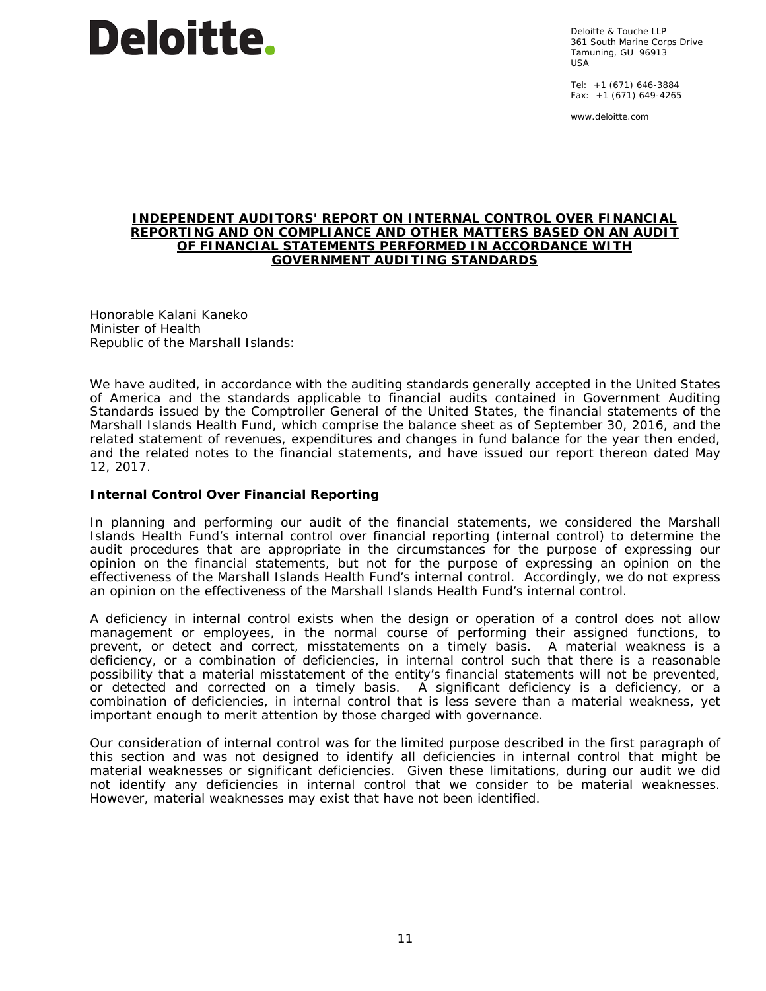Deloitte & Touche LLP 361 South Marine Corps Drive Tamuning, GU 96913 USA

Tel: +1 (671) 646-3884 Fax: +1 (671) 649-4265

www.deloitte.com

#### **INDEPENDENT AUDITORS' REPORT ON INTERNAL CONTROL OVER FINANCIAL REPORTING AND ON COMPLIANCE AND OTHER MATTERS BASED ON AN AUDIT OF FINANCIAL STATEMENTS PERFORMED IN ACCORDANCE WITH** *GOVERNMENT AUDITING STANDARDS*

Honorable Kalani Kaneko Minister of Health Republic of the Marshall Islands:

We have audited, in accordance with the auditing standards generally accepted in the United States of America and the standards applicable to financial audits contained in *Government Auditing Standards* issued by the Comptroller General of the United States, the financial statements of the Marshall Islands Health Fund, which comprise the balance sheet as of September 30, 2016, and the related statement of revenues, expenditures and changes in fund balance for the year then ended, and the related notes to the financial statements, and have issued our report thereon dated May 12, 2017.

#### **Internal Control Over Financial Reporting**

In planning and performing our audit of the financial statements, we considered the Marshall Islands Health Fund's internal control over financial reporting (internal control) to determine the audit procedures that are appropriate in the circumstances for the purpose of expressing our opinion on the financial statements, but not for the purpose of expressing an opinion on the effectiveness of the Marshall Islands Health Fund's internal control. Accordingly, we do not express an opinion on the effectiveness of the Marshall Islands Health Fund's internal control.

A *deficiency in internal control* exists when the design or operation of a control does not allow management or employees, in the normal course of performing their assigned functions, to prevent, or detect and correct, misstatements on a timely basis. A *material weakness* is a deficiency, or a combination of deficiencies, in internal control such that there is a reasonable possibility that a material misstatement of the entity's financial statements will not be prevented, or detected and corrected on a timely basis. A *significant deficiency* is a deficiency, or a combination of deficiencies, in internal control that is less severe than a material weakness, yet important enough to merit attention by those charged with governance.

Our consideration of internal control was for the limited purpose described in the first paragraph of this section and was not designed to identify all deficiencies in internal control that might be material weaknesses or significant deficiencies. Given these limitations, during our audit we did not identify any deficiencies in internal control that we consider to be material weaknesses. However, material weaknesses may exist that have not been identified.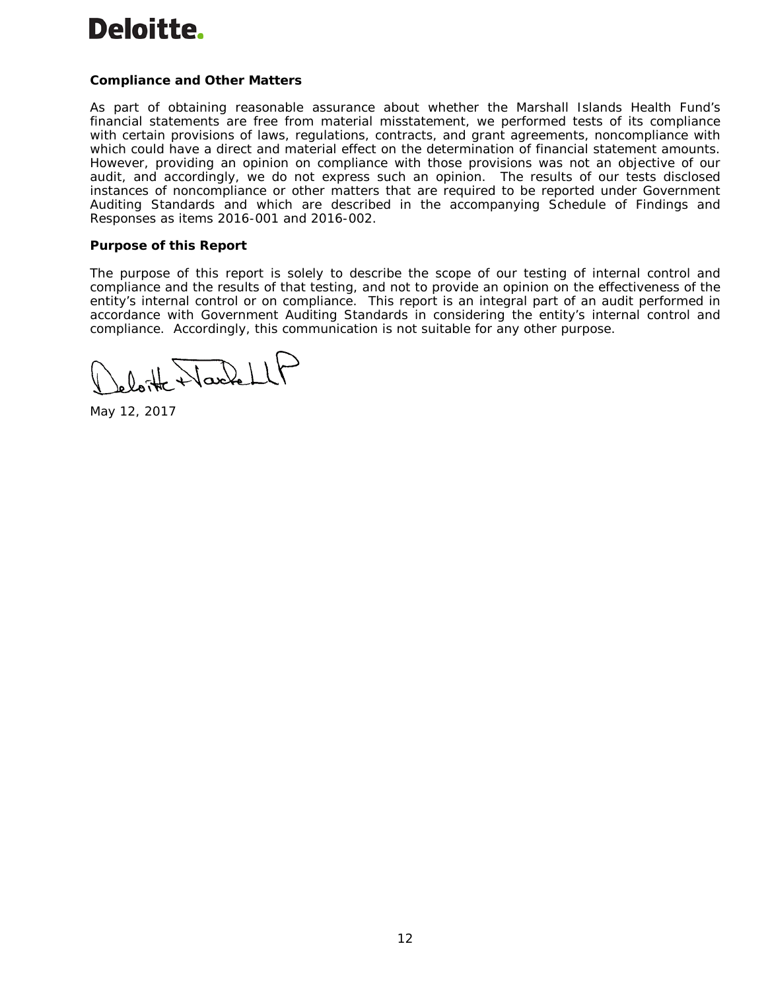# **Compliance and Other Matters**

As part of obtaining reasonable assurance about whether the Marshall Islands Health Fund's financial statements are free from material misstatement, we performed tests of its compliance with certain provisions of laws, regulations, contracts, and grant agreements, noncompliance with which could have a direct and material effect on the determination of financial statement amounts. However, providing an opinion on compliance with those provisions was not an objective of our audit, and accordingly, we do not express such an opinion. The results of our tests disclosed instances of noncompliance or other matters that are required to be reported under *Government Auditing Standards* and which are described in the accompanying Schedule of Findings and Responses as items 2016-001 and 2016-002.

#### **Purpose of this Report**

The purpose of this report is solely to describe the scope of our testing of internal control and compliance and the results of that testing, and not to provide an opinion on the effectiveness of the entity's internal control or on compliance. This report is an integral part of an audit performed in accordance with *Government Auditing Standards* in considering the entity's internal control and compliance. Accordingly, this communication is not suitable for any other purpose.

# Wackell

May 12, 2017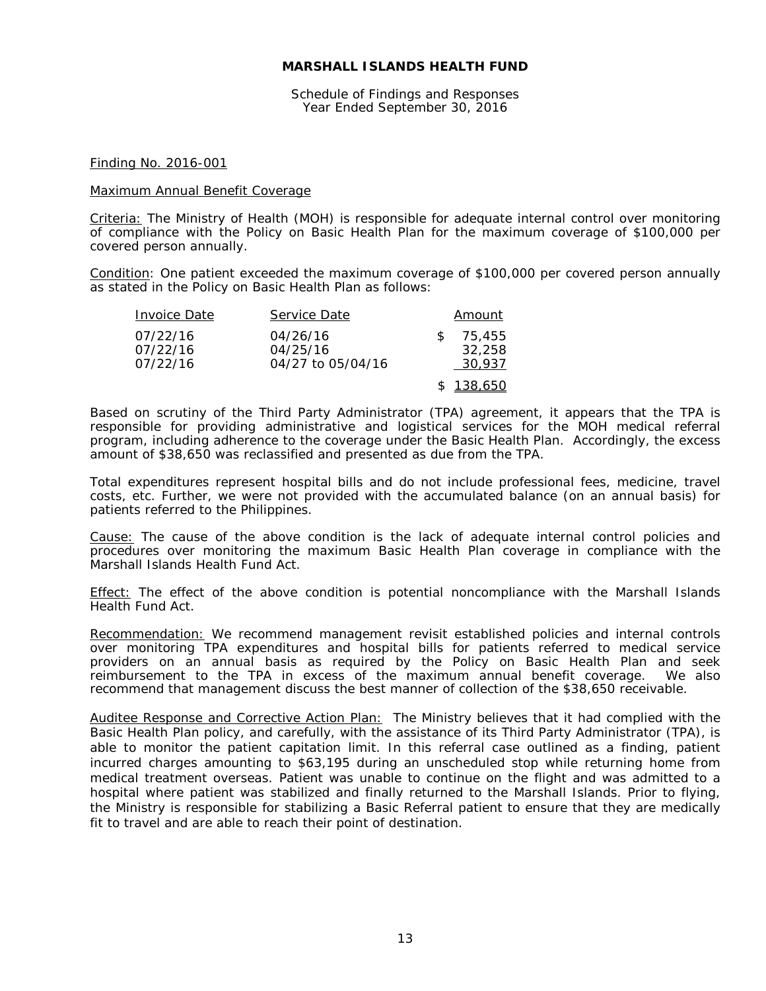Schedule of Findings and Responses Year Ended September 30, 2016

#### Finding No. 2016-001

#### Maximum Annual Benefit Coverage

Criteria: The Ministry of Health (MOH) is responsible for adequate internal control over monitoring of compliance with the Policy on Basic Health Plan for the maximum coverage of \$100,000 per covered person annually.

Condition: One patient exceeded the maximum coverage of \$100,000 per covered person annually as stated in the Policy on Basic Health Plan as follows:

| <b>Invoice Date</b>  | Service Date         | Amount           |
|----------------------|----------------------|------------------|
| 07/22/16<br>07/22/16 | 04/26/16<br>04/25/16 | 75.455<br>32,258 |
| 07/22/16             | 04/27 to 05/04/16    | 30.937           |
|                      |                      | \$138,650        |

Based on scrutiny of the Third Party Administrator (TPA) agreement, it appears that the TPA is responsible for providing administrative and logistical services for the MOH medical referral program, including adherence to the coverage under the Basic Health Plan. Accordingly, the excess amount of \$38,650 was reclassified and presented as due from the TPA.

Total expenditures represent hospital bills and do not include professional fees, medicine, travel costs, etc. Further, we were not provided with the accumulated balance (on an annual basis) for patients referred to the Philippines.

Cause: The cause of the above condition is the lack of adequate internal control policies and procedures over monitoring the maximum Basic Health Plan coverage in compliance with the Marshall Islands Health Fund Act.

Effect: The effect of the above condition is potential noncompliance with the Marshall Islands Health Fund Act.

Recommendation: We recommend management revisit established policies and internal controls over monitoring TPA expenditures and hospital bills for patients referred to medical service providers on an annual basis as required by the Policy on Basic Health Plan and seek reimbursement to the TPA in excess of the maximum annual benefit coverage. We also recommend that management discuss the best manner of collection of the \$38,650 receivable.

Auditee Response and Corrective Action Plan: The Ministry believes that it had complied with the Basic Health Plan policy, and carefully, with the assistance of its Third Party Administrator (TPA), is able to monitor the patient capitation limit. In this referral case outlined as a finding, patient incurred charges amounting to \$63,195 during an unscheduled stop while returning home from medical treatment overseas. Patient was unable to continue on the flight and was admitted to a hospital where patient was stabilized and finally returned to the Marshall Islands. Prior to flying, the Ministry is responsible for stabilizing a Basic Referral patient to ensure that they are medically fit to travel and are able to reach their point of destination.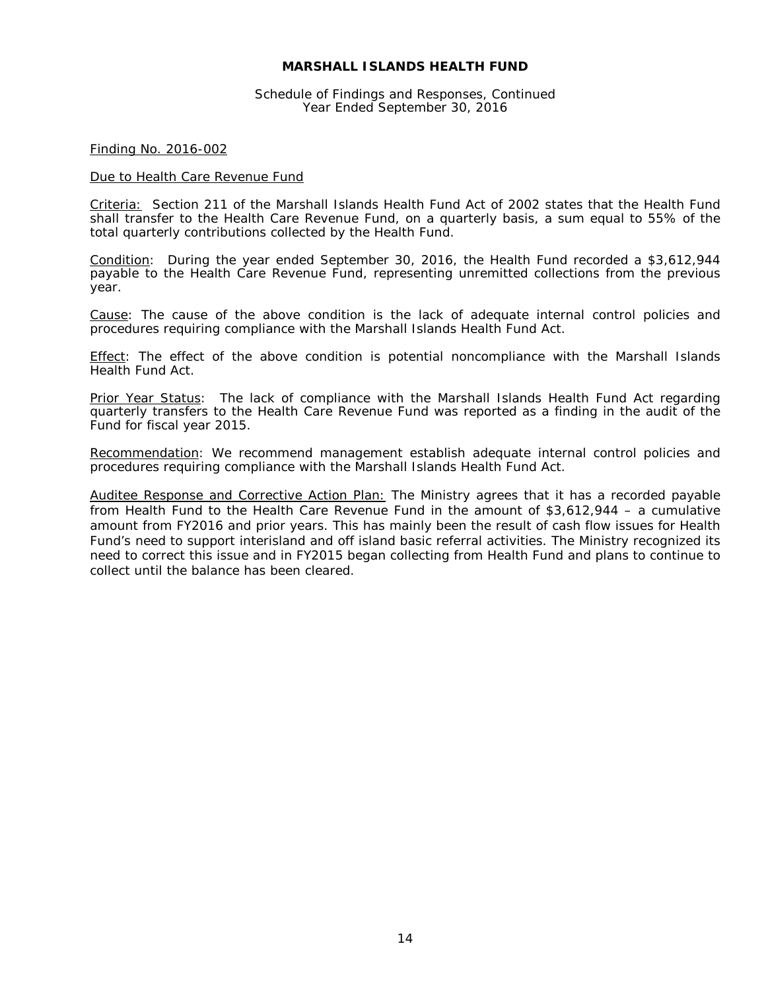Schedule of Findings and Responses, Continued Year Ended September 30, 2016

#### Finding No. 2016-002

#### Due to Health Care Revenue Fund

Criteria: Section 211 of the Marshall Islands Health Fund Act of 2002 states that the Health Fund shall transfer to the Health Care Revenue Fund, on a quarterly basis, a sum equal to 55% of the total quarterly contributions collected by the Health Fund.

Condition: During the year ended September 30, 2016, the Health Fund recorded a \$3,612,944 payable to the Health Care Revenue Fund, representing unremitted collections from the previous year.

Cause: The cause of the above condition is the lack of adequate internal control policies and procedures requiring compliance with the Marshall Islands Health Fund Act.

Effect: The effect of the above condition is potential noncompliance with the Marshall Islands Health Fund Act.

Prior Year Status: The lack of compliance with the Marshall Islands Health Fund Act regarding quarterly transfers to the Health Care Revenue Fund was reported as a finding in the audit of the Fund for fiscal year 2015.

Recommendation: We recommend management establish adequate internal control policies and procedures requiring compliance with the Marshall Islands Health Fund Act.

Auditee Response and Corrective Action Plan: The Ministry agrees that it has a recorded payable from Health Fund to the Health Care Revenue Fund in the amount of \$3,612,944 – a cumulative amount from FY2016 and prior years. This has mainly been the result of cash flow issues for Health Fund's need to support interisland and off island basic referral activities. The Ministry recognized its need to correct this issue and in FY2015 began collecting from Health Fund and plans to continue to collect until the balance has been cleared.